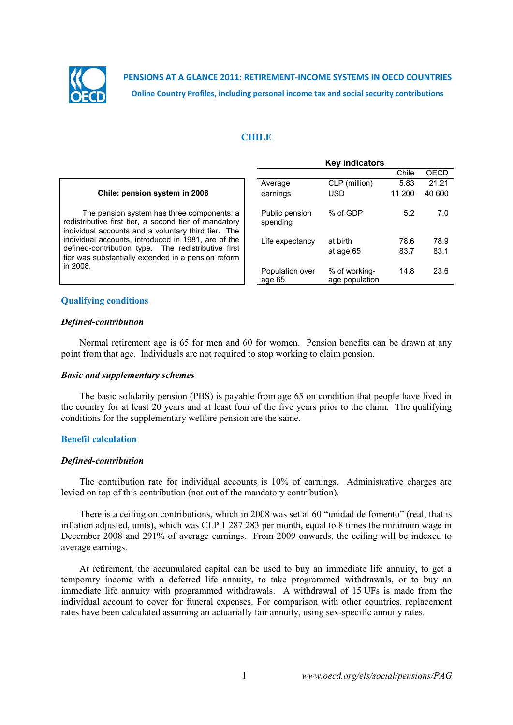

**PENSIONS AT A GLANCE 2011: RETIREMENT-INCOME SYSTEMS IN OECD COUNTRIES Online Country Profiles, including personal income tax and social security contributions**

## **CHILE**

|                                                                                                                                                            | <b>Key indicators</b>      |                                 |        |        |
|------------------------------------------------------------------------------------------------------------------------------------------------------------|----------------------------|---------------------------------|--------|--------|
|                                                                                                                                                            |                            |                                 | Chile  | OECD   |
|                                                                                                                                                            | Average                    | CLP (million)                   | 5.83   | 21.21  |
| Chile: pension system in 2008                                                                                                                              | earnings                   | <b>USD</b>                      | 11 200 | 40 600 |
| The pension system has three components: a<br>redistributive first tier, a second tier of mandatory<br>individual accounts and a voluntary third tier. The | Public pension<br>spending | % of GDP                        | 5.2    | 7.0    |
| individual accounts, introduced in 1981, are of the                                                                                                        | Life expectancy            | at birth                        | 78.6   | 78.9   |
| defined-contribution type. The redistributive first<br>tier was substantially extended in a pension reform                                                 |                            | at age 65                       | 83.7   | 83.1   |
| in 2008.                                                                                                                                                   | Population over<br>age 65  | % of working-<br>age population | 14.8   | 23.6   |

# **Qualifying conditions**

## *Defined-contribution*

Normal retirement age is 65 for men and 60 for women. Pension benefits can be drawn at any point from that age. Individuals are not required to stop working to claim pension.

## *Basic and supplementary schemes*

The basic solidarity pension (PBS) is payable from age 65 on condition that people have lived in the country for at least 20 years and at least four of the five years prior to the claim. The qualifying conditions for the supplementary welfare pension are the same.

## **Benefit calculation**

#### *Defined-contribution*

The contribution rate for individual accounts is 10% of earnings. Administrative charges are levied on top of this contribution (not out of the mandatory contribution).

There is a ceiling on contributions, which in 2008 was set at 60 "unidad de fomento" (real, that is inflation adjusted, units), which was CLP 1 287 283 per month, equal to 8 times the minimum wage in December 2008 and 291% of average earnings. From 2009 onwards, the ceiling will be indexed to average earnings.

At retirement, the accumulated capital can be used to buy an immediate life annuity, to get a temporary income with a deferred life annuity, to take programmed withdrawals, or to buy an immediate life annuity with programmed withdrawals. A withdrawal of 15 UFs is made from the individual account to cover for funeral expenses. For comparison with other countries, replacement rates have been calculated assuming an actuarially fair annuity, using sex-specific annuity rates.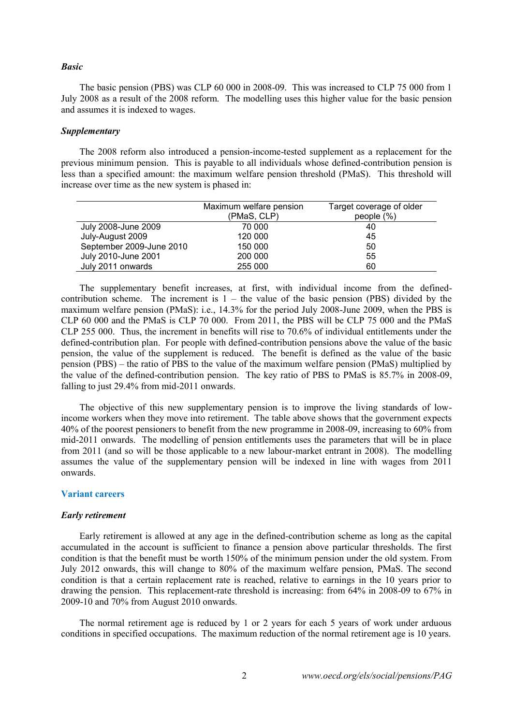#### *Basic*

The basic pension (PBS) was CLP 60 000 in 2008-09. This was increased to CLP 75 000 from 1 July 2008 as a result of the 2008 reform. The modelling uses this higher value for the basic pension and assumes it is indexed to wages.

# *Supplementary*

The 2008 reform also introduced a pension-income-tested supplement as a replacement for the previous minimum pension. This is payable to all individuals whose defined-contribution pension is less than a specified amount: the maximum welfare pension threshold (PMaS). This threshold will increase over time as the new system is phased in:

|                          | Maximum welfare pension | Target coverage of older |  |  |
|--------------------------|-------------------------|--------------------------|--|--|
|                          | (PMaS, CLP)             | people $(\%)$            |  |  |
| July 2008-June 2009      | 70 000                  | 40                       |  |  |
| July-August 2009         | 120 000                 | 45                       |  |  |
| September 2009-June 2010 | 150 000                 | 50                       |  |  |
| July 2010-June 2001      | 200 000                 | 55                       |  |  |
| July 2011 onwards        | 255 000                 | 60                       |  |  |

The supplementary benefit increases, at first, with individual income from the definedcontribution scheme. The increment is  $1 -$  the value of the basic pension (PBS) divided by the maximum welfare pension (PMaS): i.e., 14.3% for the period July 2008-June 2009, when the PBS is CLP 60 000 and the PMaS is CLP 70 000. From 2011, the PBS will be CLP 75 000 and the PMaS CLP 255 000. Thus, the increment in benefits will rise to 70.6% of individual entitlements under the defined-contribution plan. For people with defined-contribution pensions above the value of the basic pension, the value of the supplement is reduced. The benefit is defined as the value of the basic pension (PBS) – the ratio of PBS to the value of the maximum welfare pension (PMaS) multiplied by the value of the defined-contribution pension. The key ratio of PBS to PMaS is 85.7% in 2008-09, falling to just 29.4% from mid-2011 onwards.

The objective of this new supplementary pension is to improve the living standards of lowincome workers when they move into retirement. The table above shows that the government expects 40% of the poorest pensioners to benefit from the new programme in 2008-09, increasing to 60% from mid-2011 onwards. The modelling of pension entitlements uses the parameters that will be in place from 2011 (and so will be those applicable to a new labour-market entrant in 2008). The modelling assumes the value of the supplementary pension will be indexed in line with wages from 2011 onwards.

## **Variant careers**

#### *Early retirement*

Early retirement is allowed at any age in the defined-contribution scheme as long as the capital accumulated in the account is sufficient to finance a pension above particular thresholds. The first condition is that the benefit must be worth 150% of the minimum pension under the old system. From July 2012 onwards, this will change to 80% of the maximum welfare pension, PMaS. The second condition is that a certain replacement rate is reached, relative to earnings in the 10 years prior to drawing the pension. This replacement-rate threshold is increasing: from 64% in 2008-09 to 67% in 2009-10 and 70% from August 2010 onwards.

The normal retirement age is reduced by 1 or 2 years for each 5 years of work under arduous conditions in specified occupations. The maximum reduction of the normal retirement age is 10 years.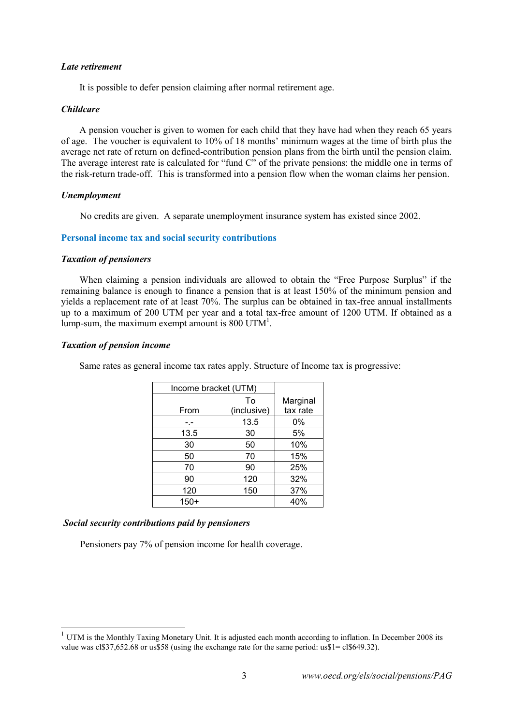### *Late retirement*

It is possible to defer pension claiming after normal retirement age.

## *Childcare*

A pension voucher is given to women for each child that they have had when they reach 65 years of age. The voucher is equivalent to 10% of 18 months' minimum wages at the time of birth plus the average net rate of return on defined-contribution pension plans from the birth until the pension claim. The average interest rate is calculated for "fund C" of the private pensions: the middle one in terms of the risk-return trade-off. This is transformed into a pension flow when the woman claims her pension.

## *Unemployment*

No credits are given. A separate unemployment insurance system has existed since 2002.

## **Personal income tax and social security contributions**

## *Taxation of pensioners*

When claiming a pension individuals are allowed to obtain the "Free Purpose Surplus" if the remaining balance is enough to finance a pension that is at least 150% of the minimum pension and yields a replacement rate of at least 70%. The surplus can be obtained in tax-free annual installments up to a maximum of 200 UTM per year and a total tax-free amount of 1200 UTM. If obtained as a lump-sum, the maximum exempt amount is 800 UTM<sup>1</sup>.

## *Taxation of pension income*

l

Same rates as general income tax rates apply. Structure of Income tax is progressive:

| Income bracket (UTM) |                   |                      |
|----------------------|-------------------|----------------------|
| From                 | To<br>(inclusive) | Marginal<br>tax rate |
|                      | 13.5              | 0%                   |
| 13.5                 | 30                | 5%                   |
| 30                   | 50                | 10%                  |
| 50                   | 70                | 15%                  |
| 70                   | 90                | 25%                  |
| 90                   | 120               | 32%                  |
| 120                  | 150               | 37%                  |
| $150+$               |                   | 40%                  |

## *Social security contributions paid by pensioners*

Pensioners pay 7% of pension income for health coverage.

 $1$  UTM is the Monthly Taxing Monetary Unit. It is adjusted each month according to inflation. In December 2008 its value was cl\$37,652.68 or us\$58 (using the exchange rate for the same period: us\$1= cl\$649.32).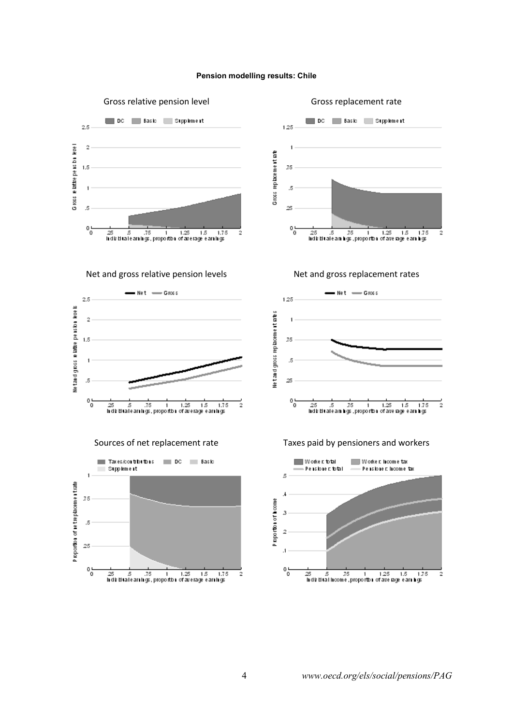#### **Pension modelling results: Chile**